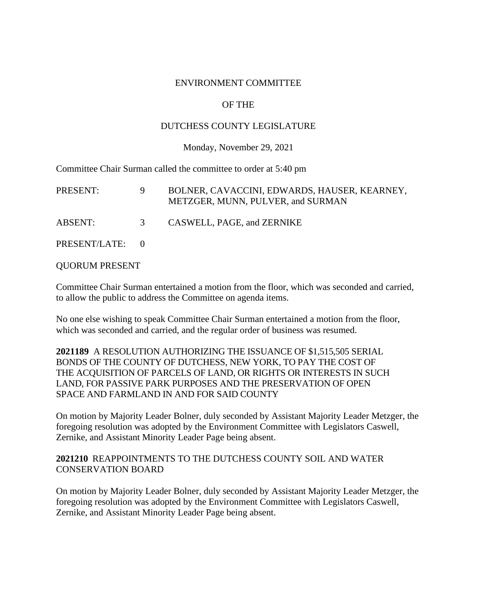#### ENVIRONMENT COMMITTEE

## OF THE

#### DUTCHESS COUNTY LEGISLATURE

#### Monday, November 29, 2021

Committee Chair Surman called the committee to order at 5:40 pm

| PRESENT:        |   | BOLNER, CAVACCINI, EDWARDS, HAUSER, KEARNEY,<br>METZGER, MUNN, PULVER, and SURMAN |
|-----------------|---|-----------------------------------------------------------------------------------|
| ABSENT:         | 3 | CASWELL, PAGE, and ZERNIKE                                                        |
| PRESENT/LATE: 0 |   |                                                                                   |

QUORUM PRESENT

Committee Chair Surman entertained a motion from the floor, which was seconded and carried, to allow the public to address the Committee on agenda items.

No one else wishing to speak Committee Chair Surman entertained a motion from the floor, which was seconded and carried, and the regular order of business was resumed.

**2021189** A RESOLUTION AUTHORIZING THE ISSUANCE OF \$1,515,505 SERIAL BONDS OF THE COUNTY OF DUTCHESS, NEW YORK, TO PAY THE COST OF THE ACQUISITION OF PARCELS OF LAND, OR RIGHTS OR INTERESTS IN SUCH LAND, FOR PASSIVE PARK PURPOSES AND THE PRESERVATION OF OPEN SPACE AND FARMLAND IN AND FOR SAID COUNTY

On motion by Majority Leader Bolner, duly seconded by Assistant Majority Leader Metzger, the foregoing resolution was adopted by the Environment Committee with Legislators Caswell, Zernike, and Assistant Minority Leader Page being absent.

#### **2021210** REAPPOINTMENTS TO THE DUTCHESS COUNTY SOIL AND WATER CONSERVATION BOARD

On motion by Majority Leader Bolner, duly seconded by Assistant Majority Leader Metzger, the foregoing resolution was adopted by the Environment Committee with Legislators Caswell, Zernike, and Assistant Minority Leader Page being absent.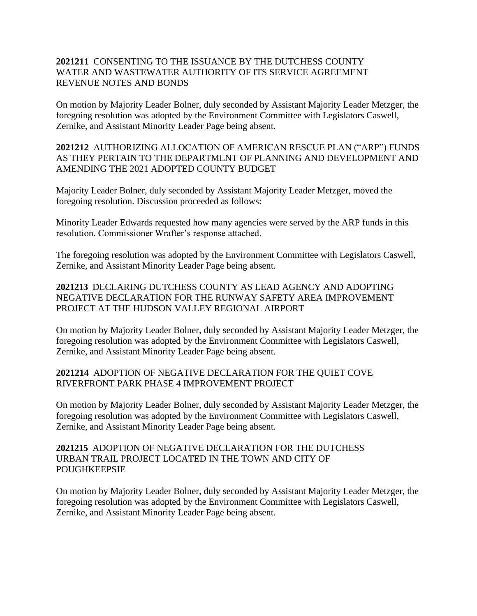## **2021211** CONSENTING TO THE ISSUANCE BY THE DUTCHESS COUNTY WATER AND WASTEWATER AUTHORITY OF ITS SERVICE AGREEMENT REVENUE NOTES AND BONDS

On motion by Majority Leader Bolner, duly seconded by Assistant Majority Leader Metzger, the foregoing resolution was adopted by the Environment Committee with Legislators Caswell, Zernike, and Assistant Minority Leader Page being absent.

**2021212** AUTHORIZING ALLOCATION OF AMERICAN RESCUE PLAN ("ARP") FUNDS AS THEY PERTAIN TO THE DEPARTMENT OF PLANNING AND DEVELOPMENT AND AMENDING THE 2021 ADOPTED COUNTY BUDGET

Majority Leader Bolner, duly seconded by Assistant Majority Leader Metzger, moved the foregoing resolution. Discussion proceeded as follows:

Minority Leader Edwards requested how many agencies were served by the ARP funds in this resolution. Commissioner Wrafter's response attached.

The foregoing resolution was adopted by the Environment Committee with Legislators Caswell, Zernike, and Assistant Minority Leader Page being absent.

**2021213** DECLARING DUTCHESS COUNTY AS LEAD AGENCY AND ADOPTING NEGATIVE DECLARATION FOR THE RUNWAY SAFETY AREA IMPROVEMENT PROJECT AT THE HUDSON VALLEY REGIONAL AIRPORT

On motion by Majority Leader Bolner, duly seconded by Assistant Majority Leader Metzger, the foregoing resolution was adopted by the Environment Committee with Legislators Caswell, Zernike, and Assistant Minority Leader Page being absent.

## **2021214** ADOPTION OF NEGATIVE DECLARATION FOR THE QUIET COVE RIVERFRONT PARK PHASE 4 IMPROVEMENT PROJECT

On motion by Majority Leader Bolner, duly seconded by Assistant Majority Leader Metzger, the foregoing resolution was adopted by the Environment Committee with Legislators Caswell, Zernike, and Assistant Minority Leader Page being absent.

## **2021215** ADOPTION OF NEGATIVE DECLARATION FOR THE DUTCHESS URBAN TRAIL PROJECT LOCATED IN THE TOWN AND CITY OF POUGHKEEPSIE

On motion by Majority Leader Bolner, duly seconded by Assistant Majority Leader Metzger, the foregoing resolution was adopted by the Environment Committee with Legislators Caswell, Zernike, and Assistant Minority Leader Page being absent.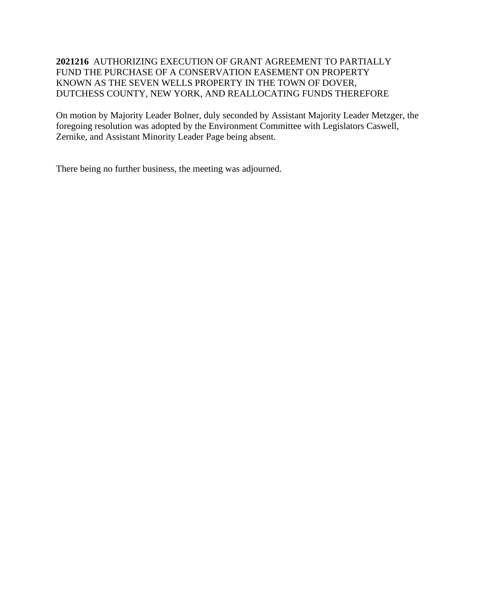# **2021216** AUTHORIZING EXECUTION OF GRANT AGREEMENT TO PARTIALLY FUND THE PURCHASE OF A CONSERVATION EASEMENT ON PROPERTY KNOWN AS THE SEVEN WELLS PROPERTY IN THE TOWN OF DOVER, DUTCHESS COUNTY, NEW YORK, AND REALLOCATING FUNDS THEREFORE

On motion by Majority Leader Bolner, duly seconded by Assistant Majority Leader Metzger, the foregoing resolution was adopted by the Environment Committee with Legislators Caswell, Zernike, and Assistant Minority Leader Page being absent.

There being no further business, the meeting was adjourned.